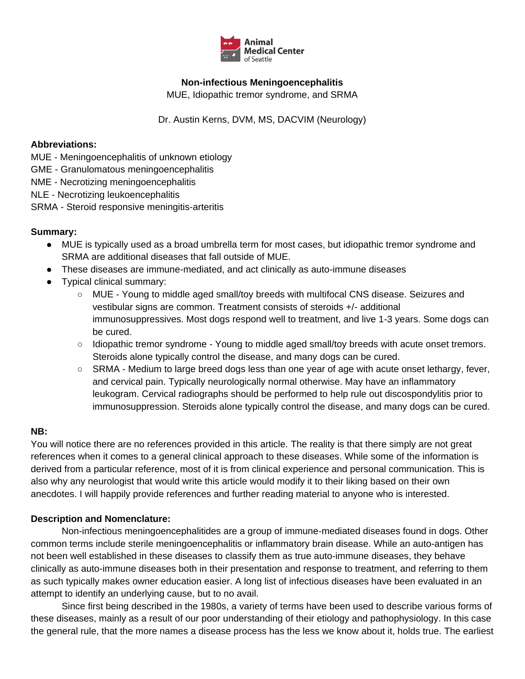

# **Non-infectious Meningoencephalitis**

MUE, Idiopathic tremor syndrome, and SRMA

Dr. Austin Kerns, DVM, MS, DACVIM (Neurology)

#### **Abbreviations:**

MUE - Meningoencephalitis of unknown etiology

GME - Granulomatous meningoencephalitis

NME - Necrotizing meningoencephalitis

NLE - Necrotizing leukoencephalitis

SRMA - Steroid responsive meningitis-arteritis

### **Summary:**

- MUE is typically used as a broad umbrella term for most cases, but idiopathic tremor syndrome and SRMA are additional diseases that fall outside of MUE.
- These diseases are immune-mediated, and act clinically as auto-immune diseases
- Typical clinical summary:
	- MUE Young to middle aged small/toy breeds with multifocal CNS disease. Seizures and vestibular signs are common. Treatment consists of steroids +/- additional immunosuppressives. Most dogs respond well to treatment, and live 1-3 years. Some dogs can be cured.
	- Idiopathic tremor syndrome Young to middle aged small/toy breeds with acute onset tremors. Steroids alone typically control the disease, and many dogs can be cured.
	- SRMA Medium to large breed dogs less than one year of age with acute onset lethargy, fever, and cervical pain. Typically neurologically normal otherwise. May have an inflammatory leukogram. Cervical radiographs should be performed to help rule out discospondylitis prior to immunosuppression. Steroids alone typically control the disease, and many dogs can be cured.

### **NB:**

You will notice there are no references provided in this article. The reality is that there simply are not great references when it comes to a general clinical approach to these diseases. While some of the information is derived from a particular reference, most of it is from clinical experience and personal communication. This is also why any neurologist that would write this article would modify it to their liking based on their own anecdotes. I will happily provide references and further reading material to anyone who is interested.

### **Description and Nomenclature:**

Non-infectious meningoencephalitides are a group of immune-mediated diseases found in dogs. Other common terms include sterile meningoencephalitis or inflammatory brain disease. While an auto-antigen has not been well established in these diseases to classify them as true auto-immune diseases, they behave clinically as auto-immune diseases both in their presentation and response to treatment, and referring to them as such typically makes owner education easier. A long list of infectious diseases have been evaluated in an attempt to identify an underlying cause, but to no avail.

Since first being described in the 1980s, a variety of terms have been used to describe various forms of these diseases, mainly as a result of our poor understanding of their etiology and pathophysiology. In this case the general rule, that the more names a disease process has the less we know about it, holds true. The earliest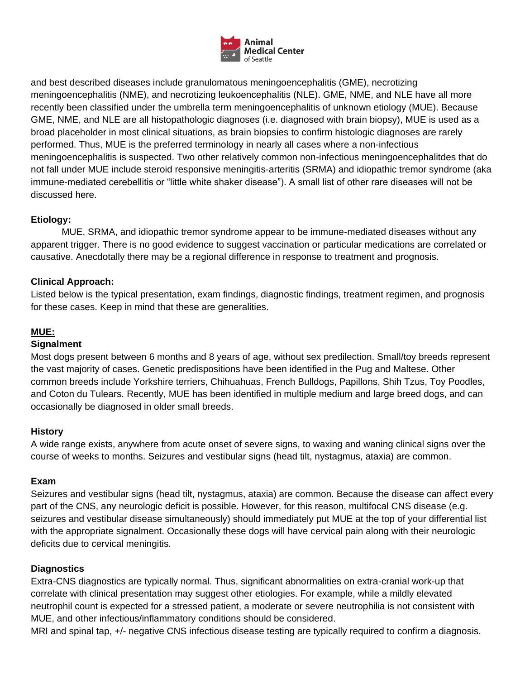

and best described diseases include granulomatous meningoencephalitis (GME), necrotizing meningoencephalitis (NME), and necrotizing leukoencephalitis (NLE). GME, NME, and NLE have all more recently been classified under the umbrella term meningoencephalitis of unknown etiology (MUE). Because GME, NME, and NLE are all histopathologic diagnoses (i.e. diagnosed with brain biopsy), MUE is used as a broad placeholder in most clinical situations, as brain biopsies to confirm histologic diagnoses are rarely performed. Thus, MUE is the preferred terminology in nearly all cases where a non-infectious meningoencephalitis is suspected. Two other relatively common non-infectious meningoencephalitdes that do not fall under MUE include steroid responsive meningitis-arteritis (SRMA) and idiopathic tremor syndrome (aka immune-mediated cerebellitis or "little white shaker disease"). A small list of other rare diseases will not be discussed here.

# **Etiology:**

MUE, SRMA, and idiopathic tremor syndrome appear to be immune-mediated diseases without any apparent trigger. There is no good evidence to suggest vaccination or particular medications are correlated or causative. Anecdotally there may be a regional difference in response to treatment and prognosis.

# **Clinical Approach:**

Listed below is the typical presentation, exam findings, diagnostic findings, treatment regimen, and prognosis for these cases. Keep in mind that these are generalities.

# **MUE:**

### **Signalment**

Most dogs present between 6 months and 8 years of age, without sex predilection. Small/toy breeds represent the vast majority of cases. Genetic predispositions have been identified in the Pug and Maltese. Other common breeds include Yorkshire terriers, Chihuahuas, French Bulldogs, Papillons, Shih Tzus, Toy Poodles, and Coton du Tulears. Recently, MUE has been identified in multiple medium and large breed dogs, and can occasionally be diagnosed in older small breeds.

### **History**

A wide range exists, anywhere from acute onset of severe signs, to waxing and waning clinical signs over the course of weeks to months. Seizures and vestibular signs (head tilt, nystagmus, ataxia) are common.

### **Exam**

Seizures and vestibular signs (head tilt, nystagmus, ataxia) are common. Because the disease can affect every part of the CNS, any neurologic deficit is possible. However, for this reason, multifocal CNS disease (e.g. seizures and vestibular disease simultaneously) should immediately put MUE at the top of your differential list with the appropriate signalment. Occasionally these dogs will have cervical pain along with their neurologic deficits due to cervical meningitis.

#### **Diagnostics**

Extra-CNS diagnostics are typically normal. Thus, significant abnormalities on extra-cranial work-up that correlate with clinical presentation may suggest other etiologies. For example, while a mildly elevated neutrophil count is expected for a stressed patient, a moderate or severe neutrophilia is not consistent with MUE, and other infectious/inflammatory conditions should be considered.

MRI and spinal tap, +/- negative CNS infectious disease testing are typically required to confirm a diagnosis.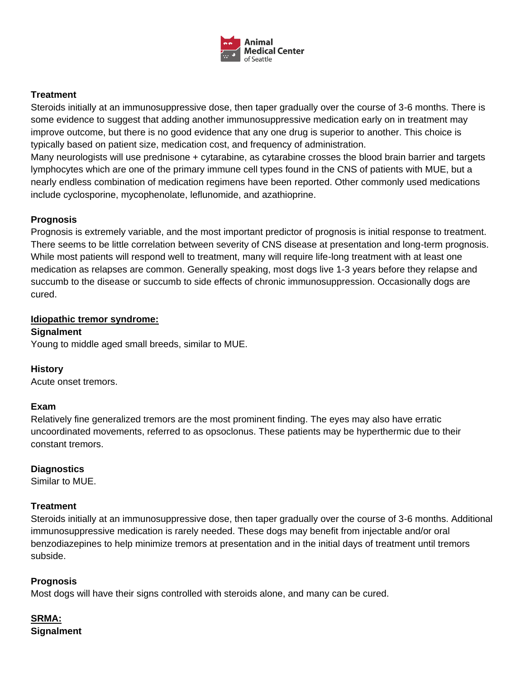

# **Treatment**

Steroids initially at an immunosuppressive dose, then taper gradually over the course of 3-6 months. There is some evidence to suggest that adding another immunosuppressive medication early on in treatment may improve outcome, but there is no good evidence that any one drug is superior to another. This choice is typically based on patient size, medication cost, and frequency of administration.

Many neurologists will use prednisone + cytarabine, as cytarabine crosses the blood brain barrier and targets lymphocytes which are one of the primary immune cell types found in the CNS of patients with MUE, but a nearly endless combination of medication regimens have been reported. Other commonly used medications include cyclosporine, mycophenolate, leflunomide, and azathioprine.

# **Prognosis**

Prognosis is extremely variable, and the most important predictor of prognosis is initial response to treatment. There seems to be little correlation between severity of CNS disease at presentation and long-term prognosis. While most patients will respond well to treatment, many will require life-long treatment with at least one medication as relapses are common. Generally speaking, most dogs live 1-3 years before they relapse and succumb to the disease or succumb to side effects of chronic immunosuppression. Occasionally dogs are cured.

### **Idiopathic tremor syndrome:**

#### **Signalment**

Young to middle aged small breeds, similar to MUE.

### **History**

Acute onset tremors.

### **Exam**

Relatively fine generalized tremors are the most prominent finding. The eyes may also have erratic uncoordinated movements, referred to as opsoclonus. These patients may be hyperthermic due to their constant tremors.

### **Diagnostics**

Similar to MUE.

### **Treatment**

Steroids initially at an immunosuppressive dose, then taper gradually over the course of 3-6 months. Additional immunosuppressive medication is rarely needed. These dogs may benefit from injectable and/or oral benzodiazepines to help minimize tremors at presentation and in the initial days of treatment until tremors subside.

### **Prognosis**

Most dogs will have their signs controlled with steroids alone, and many can be cured.

# **SRMA: Signalment**